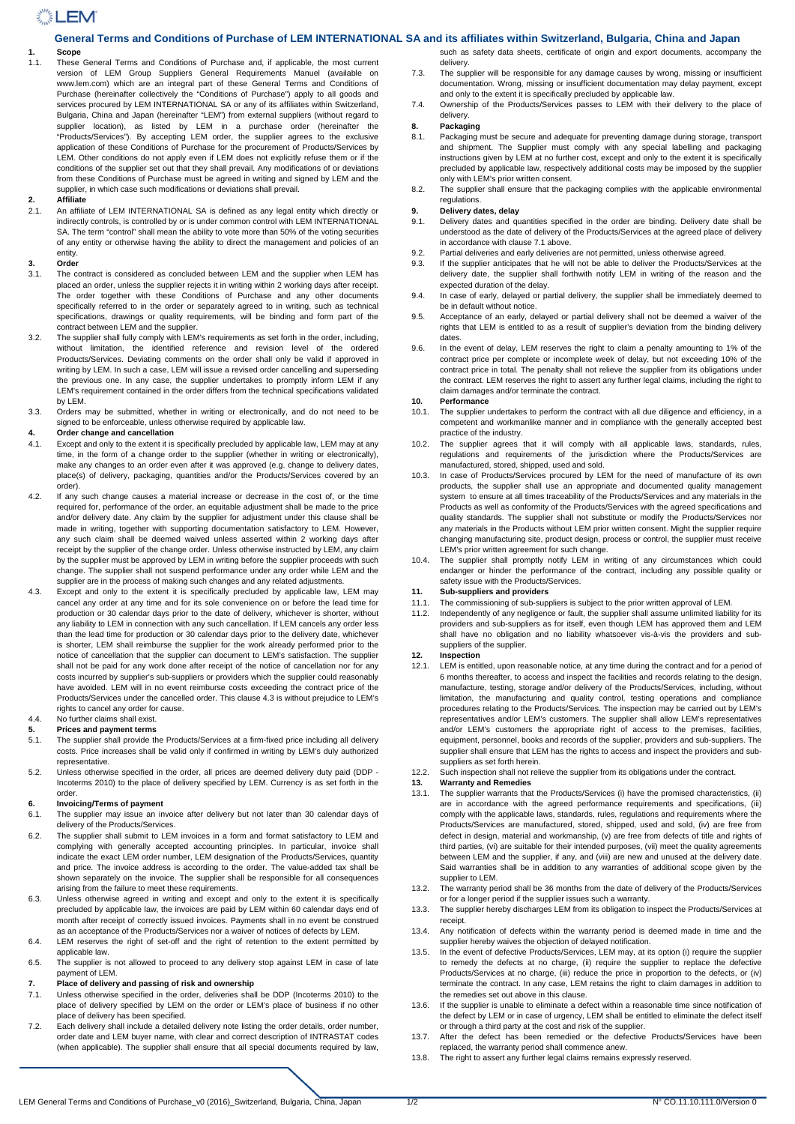# **NEM**

## **General Terms and Conditions of Purchase of LEM INTERNATIONAL SA and its affiliates within Switzerland, Bulgaria, China and Japan**

## **1. Scope**

1.1. These General Terms and Conditions of Purchase and, if applicable, the most current version of LEM Group Suppliers General Requirements Manuel (available on www.lem.com) which are an integral part of these General Terms and Conditions of Purchase (hereinafter collectively the "Conditions of Purchase") apply to all goods and services procured by LEM INTERNATIONAL SA or any of its affiliates within Switzerland, Bulgaria, China and Japan (hereinafter "LEM") from external suppliers (without regard to supplier location), as listed by LEM in a purchase order (hereinafter the "Products/Services"). By accepting LEM order, the supplier agrees to the exclusive application of these Conditions of Purchase for the procurement of Products/Services by LEM. Other conditions do not apply even if LEM does not explicitly refuse them or if the conditions of the supplier set out that they shall prevail. Any modifications of or deviations from these Conditions of Purchase must be agreed in writing and signed by LEM and the supplier, in which case such modifications or deviations shall prevail.

# **2. Affiliate**

2.1. An affiliate of LEM INTERNATIONAL SA is defined as any legal entity which directly or indirectly controls, is controlled by or is under common control with LEM INTERNATIONAL SA. The term "control" shall mean the ability to vote more than 50% of the voting securities of any entity or otherwise having the ability to direct the management and policies of an entity.

#### **3. Order**

- 3.1. The contract is considered as concluded between LEM and the supplier when LEM has placed an order, unless the supplier rejects it in writing within 2 working days after receipt. The order together with these Conditions of Purchase and any other documents specifically referred to in the order or separately agreed to in writing, such as technical specifications, drawings or quality requirements, will be binding and form part of the contract between LEM and the supplier.
- 3.2. The supplier shall fully comply with LEM's requirements as set forth in the order, including, without limitation, the identified reference and revision level of the ordered Products/Services. Deviating comments on the order shall only be valid if approved in writing by LEM. In such a case, LEM will issue a revised order cancelling and superseding the previous one. In any case, the supplier undertakes to promptly inform LEM if any LEM's requirement contained in the order differs from the technical specifications validated by LEM.
- 3.3. Orders may be submitted, whether in writing or electronically, and do not need to be signed to be enforceable, unless otherwise required by applicable law.

# **4.** Order change and cancellation<br>**4.1** Except and only to the extent it is

- Except and only to the extent it is specifically precluded by applicable law, LEM may at any time, in the form of a change order to the supplier (whether in writing or electronically), make any changes to an order even after it was approved (e.g. change to delivery dates, place(s) of delivery, packaging, quantities and/or the Products/Services covered by an order).
- 4.2. If any such change causes a material increase or decrease in the cost of, or the time required for, performance of the order, an equitable adjustment shall be made to the price and/or delivery date. Any claim by the supplier for adjustment under this clause shall be made in writing, together with supporting documentation satisfactory to LEM. However, any such claim shall be deemed waived unless asserted within 2 working days after receipt by the supplier of the change order. Unless otherwise instructed by LEM, any claim by the supplier must be approved by LEM in writing before the supplier proceeds with such change. The supplier shall not suspend performance under any order while LEM and the supplier are in the process of making such changes and any related adjustments.
- 4.3. Except and only to the extent it is specifically precluded by applicable law, LEM may cancel any order at any time and for its sole convenience on or before the lead time for production or 30 calendar days prior to the date of delivery, whichever is shorter, without any liability to LEM in connection with any such cancellation. If LEM cancels any order less than the lead time for production or 30 calendar days prior to the delivery date, whichever is shorter, LEM shall reimburse the supplier for the work already performed prior to the notice of cancellation that the supplier can document to LEM's satisfaction. The supplier shall not be paid for any work done after receipt of the notice of cancellation nor for any costs incurred by supplier's sub-suppliers or providers which the supplier could reasonably have avoided. LEM will in no event reimburse costs exceeding the contract price of the Products/Services under the cancelled order. This clause 4.3 is without prejudice to LEM's rights to cancel any order for cause.

# 4.4. No further claims shall exist.

- **5. Prices and payment terms**
- 5.1. The supplier shall provide the Products/Services at a firm-fixed price including all delivery costs. Price increases shall be valid only if confirmed in writing by LEM's duly authorized representative.
- 5.2. Unless otherwise specified in the order, all prices are deemed delivery duty paid (DDP Incoterms 2010) to the place of delivery specified by LEM. Currency is as set forth in the order.

#### **6. Invoicing/Terms of payment**

- 6.1. The supplier may issue an invoice after delivery but not later than 30 calendar days of delivery of the Products/Services.
- 6.2. The supplier shall submit to LEM invoices in a form and format satisfactory to LEM and complying with generally accepted accounting principles. In particular, invoice shall indicate the exact LEM order number, LEM designation of the Products/Services, quantity and price. The invoice address is according to the order. The value-added tax shall be shown separately on the invoice. The supplier shall be responsible for all consequences arising from the failure to meet these requirements.
- 6.3. Unless otherwise agreed in writing and except and only to the extent it is specifically precluded by applicable law, the invoices are paid by LEM within 60 calendar days end of month after receipt of correctly issued invoices. Payments shall in no event be construed as an acceptance of the Products/Services nor a waiver of notices of defects by LEM.
- 6.4. LEM reserves the right of set-off and the right of retention to the extent permitted by applicable law.
- 6.5. The supplier is not allowed to proceed to any delivery stop against LEM in case of late payment of LEM.

## **7. Place of delivery and passing of risk and ownership**

- 7.1. Unless otherwise specified in the order, deliveries shall be DDP (Incoterms 2010) to the place of delivery specified by LEM on the order or LEM's place of business if no other place of delivery has been specified.
- 7.2. Each delivery shall include a detailed delivery note listing the order details, order number, order date and LEM buyer name, with clear and correct description of INTRASTAT codes (when applicable). The supplier shall ensure that all special documents required by law,

such as safety data sheets, certificate of origin and export documents, accompany the delivery.

- 7.3. The supplier will be responsible for any damage causes by wrong, missing or insufficient documentation. Wrong, missing or insufficient documentation may delay payment, except and only to the extent it is specifically precluded by applicable law.
- 7.4. Ownership of the Products/Services passes to LEM with their delivery to the place of delivery.

# **8. Packaging**

- Packaging must be secure and adequate for preventing damage during storage, transport and shipment. The Supplier must comply with any special labelling and packaging instructions given by LEM at no further cost, except and only to the extent it is specifically precluded by applicable law, respectively additional costs may be imposed by the supplier only with LEM's prior written consent.
- 8.2. The supplier shall ensure that the packaging complies with the applicable environmental regulations.

### **9. Delivery dates, delay**

- 9.1. Delivery dates and quantities specified in the order are binding. Delivery date shall be understood as the date of delivery of the Products/Services at the agreed place of delivery in accordance with clause 7.1 above.
- 9.2. Partial deliveries and early deliveries are not permitted, unless otherwise agreed.
- 9.3. If the supplier anticipates that he will not be able to deliver the Products/Services at the delivery date, the supplier shall forthwith notify LEM in writing of the reason and the expected duration of the delay.
- 9.4. In case of early, delayed or partial delivery, the supplier shall be immediately deemed to be in default without notice
- 9.5. Acceptance of an early, delayed or partial delivery shall not be deemed a waiver of the rights that LEM is entitled to as a result of supplier's deviation from the binding delivery dates.
- 9.6. In the event of delay, LEM reserves the right to claim a penalty amounting to 1% of the contract price per complete or incomplete week of delay, but not exceeding 10% of the contract price in total. The penalty shall not relieve the supplier from its obligations under the contract. LEM reserves the right to assert any further legal claims, including the right to claim damages and/or terminate the contract.

### **10. Performance**

- 10.1. The supplier undertakes to perform the contract with all due diligence and efficiency, in a competent and workmanlike manner and in compliance with the generally accepted best practice of the industry.
- 10.2. The supplier agrees that it will comply with all applicable laws, standards, rules, regulations and requirements of the jurisdiction where the Products/Services are manufactured, stored, shipped, used and sold.
- 10.3. In case of Products/Services procured by LEM for the need of manufacture of its own products, the supplier shall use an appropriate and documented quality management system to ensure at all times traceability of the Products/Services and any materials in the Products as well as conformity of the Products/Services with the agreed specifications and quality standards. The supplier shall not substitute or modify the Products/Services nor any materials in the Products without LEM prior written consent. Might the supplier require changing manufacturing site, product design, process or control, the supplier must receive LEM's prior written agreement for such change.
- 10.4. The supplier shall promptly notify LEM in writing of any circumstances which could endanger or hinder the performance of the contract, including any possible quality or safety issue with the Products/Services.

### **11. Sub-suppliers and providers**

- 11.1. The commissioning of sub-suppliers is subject to the prior written approval of LEM.
- 11.2. Independently of any negligence or fault, the supplier shall assume unlimited liability for its providers and sub-suppliers as for itself, even though LEM has approved them and LEM shall have no obligation and no liability whatsoever vis-à-vis the providers and subsuppliers of the supplier.

### **12. Inspection**

- 12.1. LEM is entitled, upon reasonable notice, at any time during the contract and for a period of 6 months thereafter, to access and inspect the facilities and records relating to the design, manufacture, testing, storage and/or delivery of the Products/Services, including, without limitation, the manufacturing and quality control, testing operations and compliance procedures relating to the Products/Services. The inspection may be carried out by LEM's representatives and/or LEM's customers. The supplier shall allow LEM's representatives and/or LEM's customers the appropriate right of access to the premises, facilities, equipment, personnel, books and records of the supplier, providers and sub-suppliers. The supplier shall ensure that LEM has the rights to access and inspect the providers and subsuppliers as set forth herein.
- 12.2. Such inspection shall not relieve the supplier from its obligations under the contract.

# **13. Warranty and Remedies**

- 13.1. The supplier warrants that the Products/Services (i) have the promised characteristics, (ii) are in accordance with the agreed performance requirements and specifications, (iii) comply with the applicable laws, standards, rules, regulations and requirements where the Products/Services are manufactured, stored, shipped, used and sold, (iv) are free from defect in design, material and workmanship, (v) are free from defects of title and rights of third parties, (vi) are suitable for their intended purposes, (vii) meet the quality agreements between LEM and the supplier, if any, and (viii) are new and unused at the delivery date. Said warranties shall be in addition to any warranties of additional scope given by the supplier to LEM.
- 13.2. The warranty period shall be 36 months from the date of delivery of the Products/Services or for a longer period if the supplier issues such a warranty.
- 13.3. The supplier hereby discharges LEM from its obligation to inspect the Products/Services at receipt.
- 13.4. Any notification of defects within the warranty period is deemed made in time and the supplier hereby waives the objection of delayed notification.
- 13.5. In the event of defective Products/Services, LEM may, at its option (i) require the supplier to remedy the defects at no charge, (ii) require the supplier to replace the defective Products/Services at no charge, (iii) reduce the price in proportion to the defects, or (iv) terminate the contract. In any case, LEM retains the right to claim damages in addition to the remedies set out above in this clause.
- 13.6. If the supplier is unable to eliminate a defect within a reasonable time since notification of the defect by LEM or in case of urgency, LEM shall be entitled to eliminate the defect itself or through a third party at the cost and risk of the supplier.
- 13.7. After the defect has been remedied or the defective Products/Services have been replaced, the warranty period shall commence anew.
- 13.8. The right to assert any further legal claims remains expressly reserved.